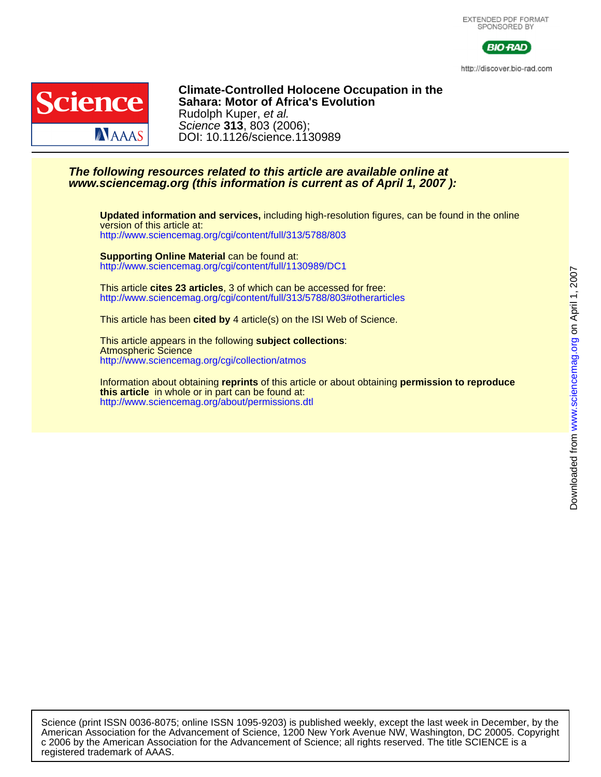

http://discover.bio-rad.com



DOI: 10.1126/science.1130989 Science **313**, 803 (2006); Rudolph Kuper, et al. **Sahara: Motor of Africa's Evolution Climate-Controlled Holocene Occupation in the**

### **www.sciencemag.org (this information is current as of April 1, 2007 ): The following resources related to this article are available online at**

<http://www.sciencemag.org/cgi/content/full/313/5788/803> version of this article at: **Updated information and services,** including high-resolution figures, can be found in the online

<http://www.sciencemag.org/cgi/content/full/1130989/DC1> **Supporting Online Material** can be found at:

<http://www.sciencemag.org/cgi/content/full/313/5788/803#otherarticles> This article **cites 23 articles**, 3 of which can be accessed for free:

This article has been **cited by** 4 article(s) on the ISI Web of Science.

<http://www.sciencemag.org/cgi/collection/atmos> Atmospheric Science This article appears in the following **subject collections**:

<http://www.sciencemag.org/about/permissions.dtl> **this article** in whole or in part can be found at: Information about obtaining **reprints** of this article or about obtaining **permission to reproduce**

registered trademark of AAAS. c 2006 by the American Association for the Advancement of Science; all rights reserved. The title SCIENCE is a American Association for the Advancement of Science, 1200 New York Avenue NW, Washington, DC 20005. Copyright Science (print ISSN 0036-8075; online ISSN 1095-9203) is published weekly, except the last week in December, by the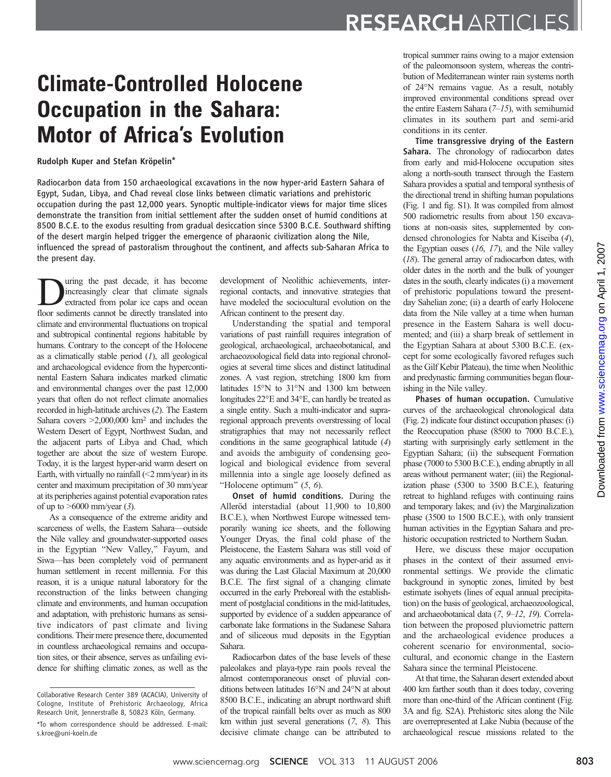# Climate-Controlled Holocene Occupation in the Sahara: Motor of Africa's Evolution

Rudolph Kuper and Stefan Kröpelin\*

Radiocarbon data from 150 archaeological excavations in the now hyper-arid Eastern Sahara of Egypt, Sudan, Libya, and Chad reveal close links between climatic variations and prehistoric occupation during the past 12,000 years. Synoptic multiple-indicator views for major time slices demonstrate the transition from initial settlement after the sudden onset of humid conditions at 8500 B.C.E. to the exodus resulting from gradual desiccation since 5300 B.C.E. Southward shifting of the desert margin helped trigger the emergence of pharaonic civilization along the Nile, influenced the spread of pastoralism throughout the continent, and affects sub-Saharan Africa to the present day.

**EXECUTE:** The past decade, it has become increasingly clear that climate signals extracted from polar ice caps and ocean floor sediments cannot be directly translated into increasingly clear that climate signals floor sediments cannot be directly translated into climate and environmental fluctuations on tropical and subtropical continental regions habitable by humans. Contrary to the concept of the Holocene as a climatically stable period  $(I)$ , all geological and archaeological evidence from the hypercontinental Eastern Sahara indicates marked climatic and environmental changes over the past 12,000 years that often do not reflect climate anomalies recorded in high-latitude archives (2). The Eastern Sahara covers  $>2,000,000$  km<sup>2</sup> and includes the Western Desert of Egypt, Northwest Sudan, and the adjacent parts of Libya and Chad, which together are about the size of western Europe. Today, it is the largest hyper-arid warm desert on Earth, with virtually no rainfall  $(\leq 2$  mm/year) in its center and maximum precipitation of 30 mm/year at its peripheries against potential evaporation rates of up to  $>6000$  mm/year (3).

As a consequence of the extreme aridity and scarceness of wells, the Eastern Sahara—outside the Nile valley and groundwater-supported oases in the Egyptian "New Valley," Fayum, and Siwa—has been completely void of permanent human settlement in recent millennia. For this reason, it is a unique natural laboratory for the reconstruction of the links between changing climate and environments, and human occupation and adaptation, with prehistoric humans as sensitive indicators of past climate and living conditions. Their mere presence there, documented in countless archaeological remains and occupation sites, or their absence, serves as unfailing evidence for shifting climatic zones, as well as the

development of Neolithic achievements, interregional contacts, and innovative strategies that have modeled the sociocultural evolution on the African continent to the present day.

Understanding the spatial and temporal variations of past rainfall requires integration of geological, archaeological, archaeobotanical, and archaeozoological field data into regional chronologies at several time slices and distinct latitudinal zones. A vast region, stretching 1800 km from latitudes  $15^{\circ}$ N to  $31^{\circ}$ N and  $1300$  km between longitudes  $22^{\circ}E$  and  $34^{\circ}E$ , can hardly be treated as a single entity. Such a multi-indicator and supraregional approach prevents overstressing of local stratigraphies that may not necessarily reflect conditions in the same geographical latitude (4) and avoids the ambiguity of condensing geological and biological evidence from several millennia into a single age loosely defined as "Holocene optimum"  $(5, 6)$ .

Onset of humid conditions. During the Alleröd interstadial (about 11,900 to 10,800 B.C.E.), when Northwest Europe witnessed temporarily waning ice sheets, and the following Younger Dryas, the final cold phase of the Pleistocene, the Eastern Sahara was still void of any aquatic environments and as hyper-arid as it was during the Last Glacial Maximum at 20,000 B.C.E. The first signal of a changing climate occurred in the early Preboreal with the establishment of postglacial conditions in the mid-latitudes, supported by evidence of a sudden appearance of carbonate lake formations in the Sudanese Sahara and of siliceous mud deposits in the Egyptian Sahara.

Radiocarbon dates of the base levels of these paleolakes and playa-type rain pools reveal the almost contemporaneous onset of pluvial conditions between latitudes  $16^{\circ}$ N and  $24^{\circ}$ N at about 8500 B.C.E., indicating an abrupt northward shift of the tropical rainfall belts over as much as 800 km within just several generations (7, 8). This decisive climate change can be attributed to

tropical summer rains owing to a major extension of the paleomonsoon system, whereas the contribution of Mediterranean winter rain systems north of 24°N remains vague. As a result, notably improved environmental conditions spread over the entire Eastern Sahara (7–15), with semihumid climates in its southern part and semi-arid conditions in its center.

Time transgressive drying of the Eastern Sahara. The chronology of radiocarbon dates from early and mid-Holocene occupation sites along a north-south transect through the Eastern Sahara provides a spatial and temporal synthesis of the directional trend in shifting human populations (Fig. 1 and fig. S1). It was compiled from almost 500 radiometric results from about 150 excavations at non-oasis sites, supplemented by condensed chronologies for Nabta and Kiseiba (4), the Egyptian oases  $(16, 17)$ , and the Nile valley (18). The general array of radiocarbon dates, with older dates in the north and the bulk of younger dates in the south, clearly indicates (i) a movement of prehistoric populations toward the presentday Sahelian zone; (ii) a dearth of early Holocene data from the Nile valley at a time when human presence in the Eastern Sahara is well documented; and (iii) a sharp break of settlement in the Egyptian Sahara at about 5300 B.C.E. (except for some ecologically favored refuges such as the Gilf Kebir Plateau), the time when Neolithic and predynastic farming communities began flourishing in the Nile valley.

Phases of human occupation. Cumulative curves of the archaeological chronological data (Fig. 2) indicate four distinct occupation phases: (i) the Reoccupation phase (8500 to 7000 B.C.E.), starting with surprisingly early settlement in the Egyptian Sahara; (ii) the subsequent Formation phase (7000 to 5300 B.C.E.), ending abruptly in all areas without permanent water; (iii) the Regionalization phase (5300 to 3500 B.C.E.), featuring retreat to highland refuges with continuing rains and temporary lakes; and (iv) the Marginalization phase (3500 to 1500 B.C.E.), with only transient human activities in the Egyptian Sahara and prehistoric occupation restricted to Northern Sudan.

Here, we discuss these major occupation phases in the context of their assumed environmental settings. We provide the climatic background in synoptic zones, limited by best estimate isohyets (lines of equal annual precipitation) on the basis of geological, archaeozoological, and archaeobotanical data (7, 9–12, 19). Correlation between the proposed pluviometric pattern and the archaeological evidence produces a coherent scenario for environmental, sociocultural, and economic change in the Eastern Sahara since the terminal Pleistocene.

At that time, the Saharan desert extended about 400 km farther south than it does today, covering more than one-third of the African continent (Fig. 3A and fig. S2A). Prehistoric sites along the Nile are overrepresented at Lake Nubia (because of the archaeological rescue missions related to the

Collaborative Research Center 389 (ACACIA), University of Cologne, Institute of Prehistoric Archaeology, Africa Research Unit, Jennerstraße 8, 50823 Köln, Germany.

<sup>\*</sup>To whom correspondence should be addressed. E-mail: s.kroe@uni-koeln.de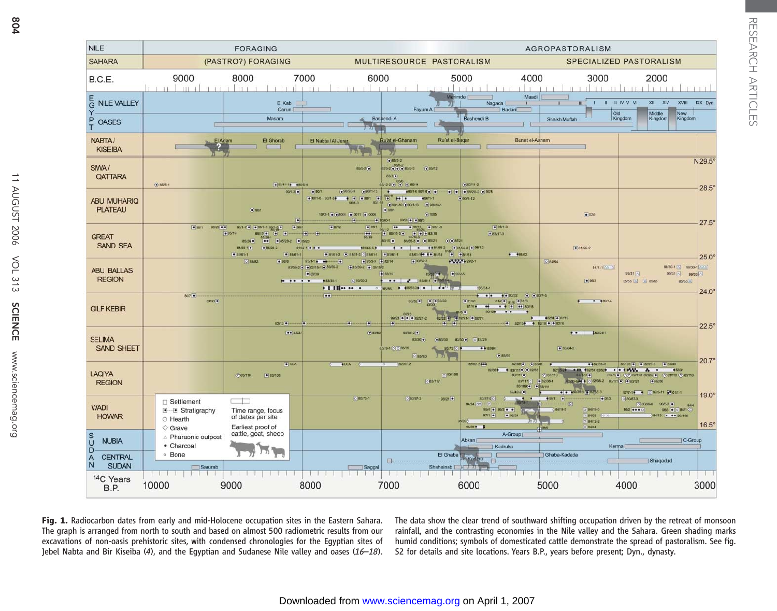

RESEARCH ARTICLES

RESEARCH ARTICLES

Fig. 1. Radiocarbon dates from early and mid-Holocene occupation sites in the Eastern Sahara. The graph is arranged from north to south and based on almost 500 radiometric results from our excavations of non-oasis prehistoric sites, with condensed chronologies for the Egyptian sites of Jebel Nabta and Bir Kiseiba  $(4)$ , and the Egyptian and Sudanese Nile valley and oases  $(16-18)$ . The data show the clear trend of southward shifting occupation driven by the retreat of monsoon rainfall, and the contrasting economies in the Nile valley and the Sahara. Green shading marks humid conditions; symbols of domesticated cattle demonstrate the spread of pastoralism. See fig. S2 for details and site locations. Years B.P., years before present; Dyn., dynasty.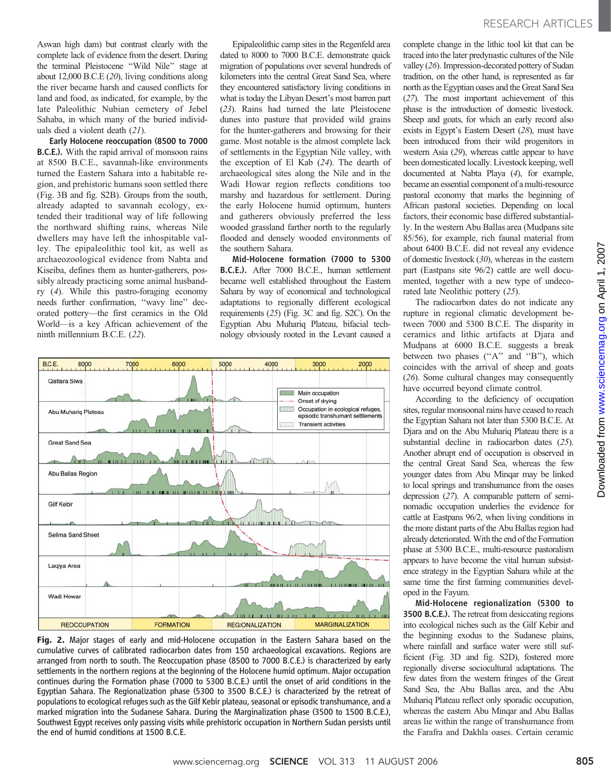Aswan high dam) but contrast clearly with the complete lack of evidence from the desert. During the terminal Pleistocene ''Wild Nile'' stage at about 12,000 B.C.E (20), living conditions along the river became harsh and caused conflicts for land and food, as indicated, for example, by the late Paleolithic Nubian cemetery of Jebel Sahaba, in which many of the buried individuals died a violent death (21).

Early Holocene reoccupation (8500 to 7000 B.C.E.). With the rapid arrival of monsoon rains at 8500 B.C.E., savannah-like environments turned the Eastern Sahara into a habitable region, and prehistoric humans soon settled there (Fig. 3B and fig. S2B). Groups from the south, already adapted to savannah ecology, extended their traditional way of life following the northward shifting rains, whereas Nile dwellers may have left the inhospitable valley. The epipaleolithic tool kit, as well as archaeozoological evidence from Nabta and Kiseiba, defines them as hunter-gatherers, possibly already practicing some animal husbandry (4). While this pastro-foraging economy needs further confirmation, ''wavy line'' decorated pottery—the first ceramics in the Old World—is a key African achievement of the ninth millennium B.C.E. (22).

Epipaleolithic camp sites in the Regenfeld area dated to 8000 to 7000 B.C.E. demonstrate quick migration of populations over several hundreds of kilometers into the central Great Sand Sea, where they encountered satisfactory living conditions in what is today the Libyan Desert's most barren part (23). Rains had turned the late Pleistocene dunes into pasture that provided wild grains for the hunter-gatherers and browsing for their game. Most notable is the almost complete lack of settlements in the Egyptian Nile valley, with the exception of El Kab (24). The dearth of archaeological sites along the Nile and in the Wadi Howar region reflects conditions too marshy and hazardous for settlement. During the early Holocene humid optimum, hunters and gatherers obviously preferred the less wooded grassland farther north to the regularly flooded and densely wooded environments of the southern Sahara.

Mid-Holocene formation (7000 to 5300 B.C.E.). After 7000 B.C.E., human settlement became well established throughout the Eastern Sahara by way of economical and technological adaptations to regionally different ecological requirements (25) (Fig. 3C and fig. S2C). On the Egyptian Abu Muhariq Plateau, bifacial technology obviously rooted in the Levant caused a



Fig. 2. Major stages of early and mid-Holocene occupation in the Eastern Sahara based on the cumulative curves of calibrated radiocarbon dates from 150 archaeological excavations. Regions are arranged from north to south. The Reoccupation phase (8500 to 7000 B.C.E.) is characterized by early settlements in the northern regions at the beginning of the Holocene humid optimum. Major occupation continues during the Formation phase (7000 to 5300 B.C.E.) until the onset of arid conditions in the Egyptian Sahara. The Regionalization phase (5300 to 3500 B.C.E.) is characterized by the retreat of populations to ecological refuges such as the Gilf Kebir plateau, seasonal or episodic transhumance, and a marked migration into the Sudanese Sahara. During the Marginalization phase (3500 to 1500 B.C.E.), Southwest Egypt receives only passing visits while prehistoric occupation in Northern Sudan persists until the end of humid conditions at 1500 B.C.E.

complete change in the lithic tool kit that can be traced into the later predynastic cultures of the Nile valley (26). Impression-decorated pottery of Sudan tradition, on the other hand, is represented as far north as the Egyptian oases and the Great Sand Sea (27). The most important achievement of this phase is the introduction of domestic livestock. Sheep and goats, for which an early record also exists in Egypt's Eastern Desert (28), must have been introduced from their wild progenitors in western Asia (29), whereas cattle appear to have been domesticated locally. Livestock keeping, well documented at Nabta Playa (4), for example, became an essential component of a multi-resource pastoral economy that marks the beginning of African pastoral societies. Depending on local factors, their economic base differed substantially. In the western Abu Ballas area (Mudpans site 85/56), for example, rich faunal material from about 6400 B.C.E. did not reveal any evidence of domestic livestock (30), whereas in the eastern part (Eastpans site 96/2) cattle are well documented, together with a new type of undecorated late Neolithic pottery (25).

The radiocarbon dates do not indicate any rupture in regional climatic development between 7000 and 5300 B.C.E. The disparity in ceramics and lithic artifacts at Djara and Mudpans at 6000 B.C.E. suggests a break between two phases ("A" and "B"), which coincides with the arrival of sheep and goats (26). Some cultural changes may consequently have occurred beyond climate control.

According to the deficiency of occupation sites, regular monsoonal rains have ceased to reach the Egyptian Sahara not later than 5300 B.C.E. At Djara and on the Abu Muhariq Plateau there is a substantial decline in radiocarbon dates (25). Another abrupt end of occupation is observed in the central Great Sand Sea, whereas the few younger dates from Abu Minqar may be linked to local springs and transhumance from the oases depression (27). A comparable pattern of seminomadic occupation underlies the evidence for cattle at Eastpans 96/2, when living conditions in the more distant parts of the Abu Ballas region had already deteriorated.With the end of the Formation phase at 5300 B.C.E., multi-resource pastoralism appears to have become the vital human subsistence strategy in the Egyptian Sahara while at the same time the first farming communities developed in the Fayum.

Mid-Holocene regionalization (5300 to 3500 B.C.E.). The retreat from desiccating regions into ecological niches such as the Gilf Kebir and the beginning exodus to the Sudanese plains, where rainfall and surface water were still sufficient (Fig. 3D and fig. S2D), fostered more regionally diverse sociocultural adaptations. The few dates from the western fringes of the Great Sand Sea, the Abu Ballas area, and the Abu Muhariq Plateau reflect only sporadic occupation, whereas the eastern Abu Minqar and Abu Ballas areas lie within the range of transhumance from the Farafra and Dakhla oases. Certain ceramic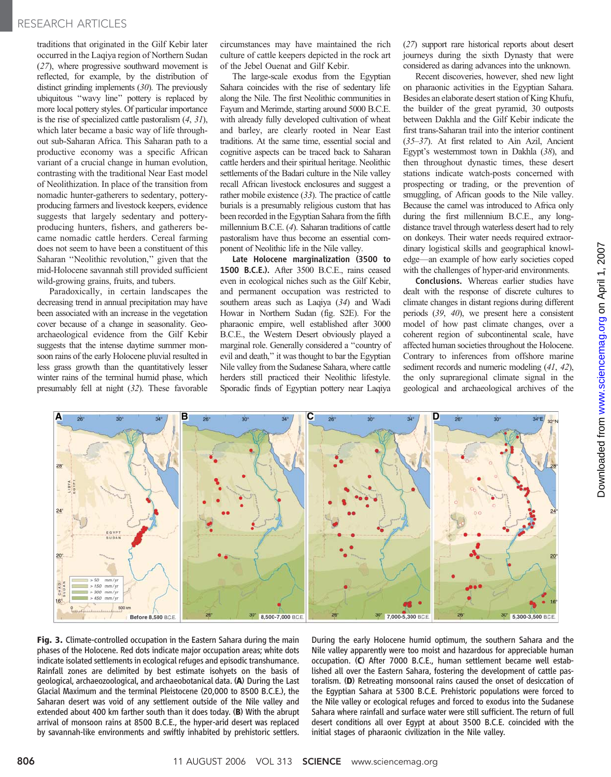traditions that originated in the Gilf Kebir later occurred in the Laqiya region of Northern Sudan (27), where progressive southward movement is reflected, for example, by the distribution of distinct grinding implements (30). The previously ubiquitous ''wavy line'' pottery is replaced by more local pottery styles. Of particular importance is the rise of specialized cattle pastoralism (4, 31), which later became a basic way of life throughout sub-Saharan Africa. This Saharan path to a productive economy was a specific African variant of a crucial change in human evolution, contrasting with the traditional Near East model of Neolithization. In place of the transition from nomadic hunter-gatherers to sedentary, potteryproducing farmers and livestock keepers, evidence suggests that largely sedentary and potteryproducing hunters, fishers, and gatherers became nomadic cattle herders. Cereal farming does not seem to have been a constituent of this Saharan ''Neolithic revolution,'' given that the mid-Holocene savannah still provided sufficient wild-growing grains, fruits, and tubers.

Paradoxically, in certain landscapes the decreasing trend in annual precipitation may have been associated with an increase in the vegetation cover because of a change in seasonality. Geoarchaeological evidence from the Gilf Kebir suggests that the intense daytime summer monsoon rains of the early Holocene pluvial resulted in less grass growth than the quantitatively lesser winter rains of the terminal humid phase, which presumably fell at night (32). These favorable

circumstances may have maintained the rich culture of cattle keepers depicted in the rock art of the Jebel Ouenat and Gilf Kebir.

The large-scale exodus from the Egyptian Sahara coincides with the rise of sedentary life along the Nile. The first Neolithic communities in Fayum and Merimde, starting around 5000 B.C.E. with already fully developed cultivation of wheat and barley, are clearly rooted in Near East traditions. At the same time, essential social and cognitive aspects can be traced back to Saharan cattle herders and their spiritual heritage. Neolithic settlements of the Badari culture in the Nile valley recall African livestock enclosures and suggest a rather mobile existence (33). The practice of cattle burials is a presumably religious custom that has been recorded in the Egyptian Sahara from the fifth millennium B.C.E. (4). Saharan traditions of cattle pastoralism have thus become an essential component of Neolithic life in the Nile valley.

Late Holocene marginalization (3500 to 1500 B.C.E.). After 3500 B.C.E., rains ceased even in ecological niches such as the Gilf Kebir, and permanent occupation was restricted to southern areas such as Laqiya (34) and Wadi Howar in Northern Sudan (fig. S2E). For the pharaonic empire, well established after 3000 B.C.E., the Western Desert obviously played a marginal role. Generally considered a ''country of evil and death,'' it was thought to bar the Egyptian Nile valley from the Sudanese Sahara, where cattle herders still practiced their Neolithic lifestyle. Sporadic finds of Egyptian pottery near Laqiya

(27) support rare historical reports about desert journeys during the sixth Dynasty that were considered as daring advances into the unknown.

Recent discoveries, however, shed new light on pharaonic activities in the Egyptian Sahara. Besides an elaborate desert station of King Khufu, the builder of the great pyramid, 30 outposts between Dakhla and the Gilf Kebir indicate the first trans-Saharan trail into the interior continent (35–37). At first related to Ain Azil, Ancient Egypt's westernmost town in Dakhla (38), and then throughout dynastic times, these desert stations indicate watch-posts concerned with prospecting or trading, or the prevention of smuggling, of African goods to the Nile valley. Because the camel was introduced to Africa only during the first millennium B.C.E., any longdistance travel through waterless desert had to rely on donkeys. Their water needs required extraordinary logistical skills and geographical knowledge—an example of how early societies coped with the challenges of hyper-arid environments.

Conclusions. Whereas earlier studies have dealt with the response of discrete cultures to climate changes in distant regions during different periods (39, 40), we present here a consistent model of how past climate changes, over a coherent region of subcontinental scale, have affected human societies throughout the Holocene. Contrary to inferences from offshore marine sediment records and numeric modeling  $(41, 42)$ , the only supraregional climate signal in the geological and archaeological archives of the



Fig. 3. Climate-controlled occupation in the Eastern Sahara during the main phases of the Holocene. Red dots indicate major occupation areas; white dots indicate isolated settlements in ecological refuges and episodic transhumance. Rainfall zones are delimited by best estimate isohyets on the basis of geological, archaeozoological, and archaeobotanical data. (A) During the Last Glacial Maximum and the terminal Pleistocene (20,000 to 8500 B.C.E.), the Saharan desert was void of any settlement outside of the Nile valley and extended about 400 km farther south than it does today. (B) With the abrupt arrival of monsoon rains at 8500 B.C.E., the hyper-arid desert was replaced by savannah-like environments and swiftly inhabited by prehistoric settlers.

During the early Holocene humid optimum, the southern Sahara and the Nile valley apparently were too moist and hazardous for appreciable human occupation. (C) After 7000 B.C.E., human settlement became well established all over the Eastern Sahara, fostering the development of cattle pastoralism. (D) Retreating monsoonal rains caused the onset of desiccation of the Egyptian Sahara at 5300 B.C.E. Prehistoric populations were forced to the Nile valley or ecological refuges and forced to exodus into the Sudanese Sahara where rainfall and surface water were still sufficient. The return of full desert conditions all over Egypt at about 3500 B.C.E. coincided with the initial stages of pharaonic civilization in the Nile valley.